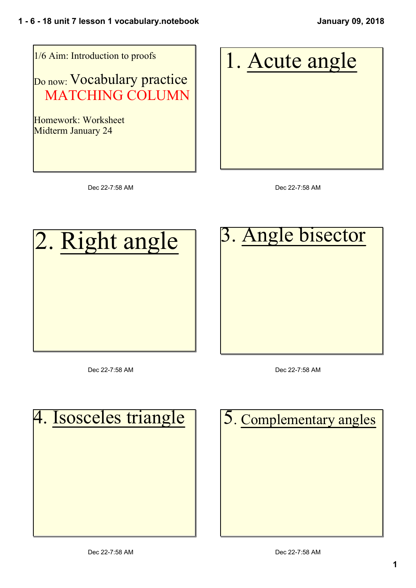

1. Acute angle

Dec 22-7:58 AM

Dec 22-7:58 AM



Dec 22-7:58 AM



Dec 22-7:58 AM

| 4. Isosceles triangle |
|-----------------------|
|                       |
|                       |
|                       |
|                       |

| 5. Complementary angles |
|-------------------------|
|                         |
|                         |
|                         |
|                         |
|                         |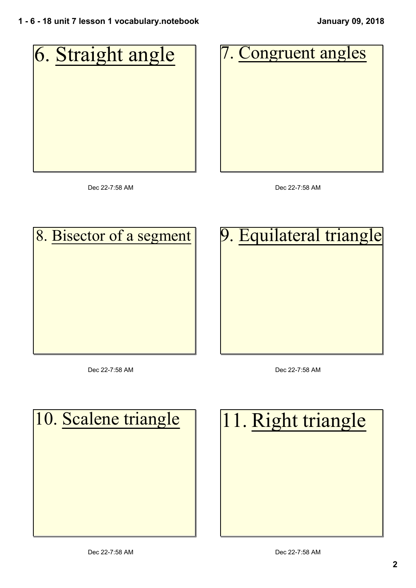

Dec 22-7:58 AM

Dec 22-7:58 AM

9. Equilateral triangle

## 8. Bisector of a segment

Dec 22-7:58 AM

Dec 22-7:58 AM

| 10. Scalene triangle |  |  |  |  |  |  |
|----------------------|--|--|--|--|--|--|
|                      |  |  |  |  |  |  |
|                      |  |  |  |  |  |  |
|                      |  |  |  |  |  |  |
|                      |  |  |  |  |  |  |

| 11. Right triangle |  |  |
|--------------------|--|--|
|                    |  |  |
|                    |  |  |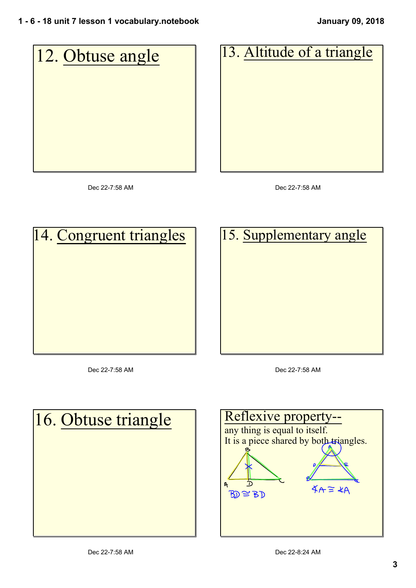

Dec 22-7:58 AM

Dec 22-7:58 AM

|  | 14. Congruent triangles |  |
|--|-------------------------|--|
|  |                         |  |
|  |                         |  |
|  |                         |  |
|  |                         |  |
|  |                         |  |

Dec 22-7:58 AM

15. Supplementary angle

Dec 22-7:58 AM



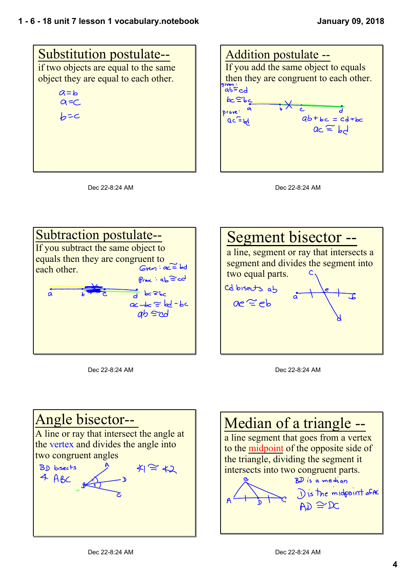









Dec 22-8:24 AM



Dec 22-8:24 AM



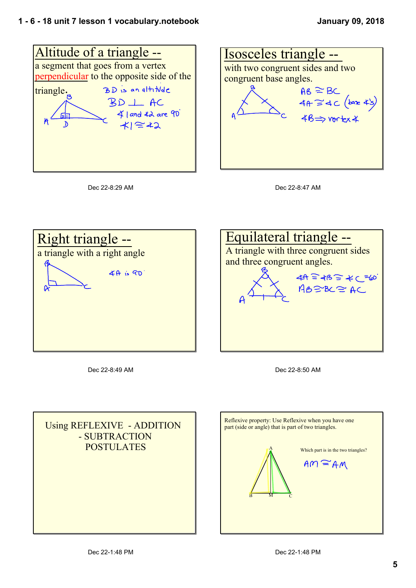









Dec 22-8:49 AM



Dec 22-8:50 AM



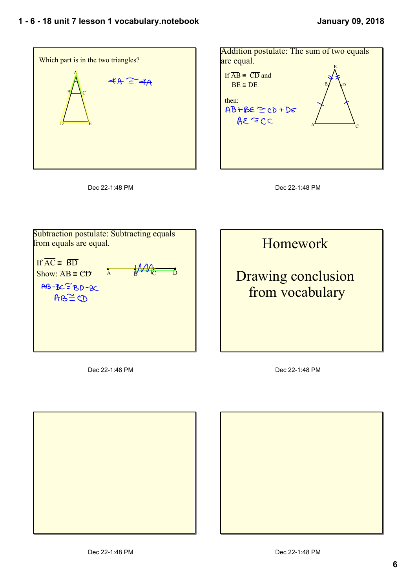







Subtraction postulate: Subtracting equals from equals are equal. If  $\overline{AC}$   $\cong$   $\overline{BD}$  $Show: AB \cong CD$  A  $B \cong CD$  $AB-BC=BD-BC$  $AB \cong CD$ 

Homework

## Drawing conclusion from vocabulary

Dec 22-1:48 PM



Dec 22-1:48 PM

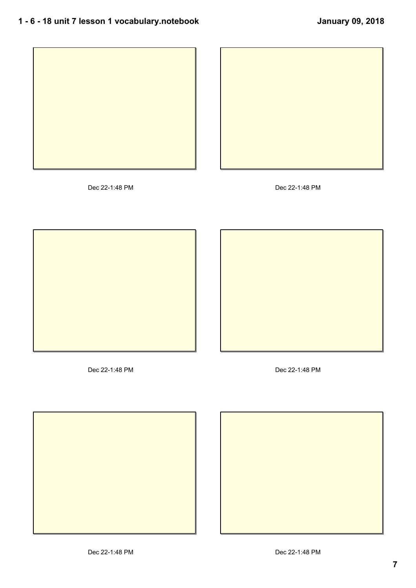



Dec 22-1:48 PM Dec 22-1:48 PM





Dec 22-1:48 PM Dec 22-1:48 PM